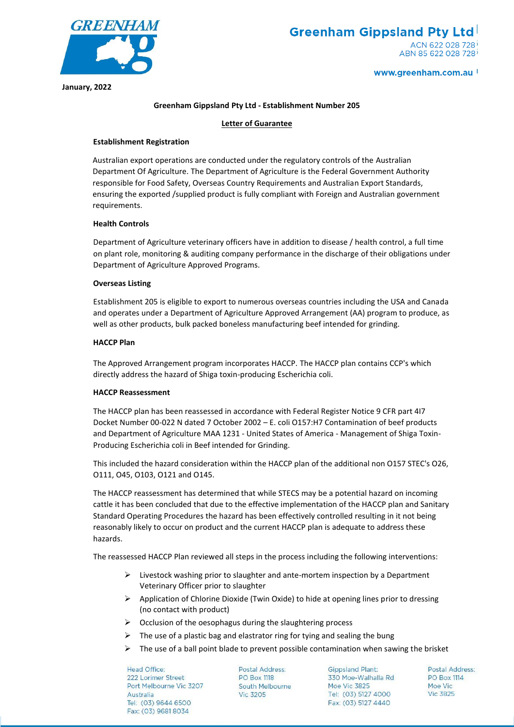

### www.greenham.com.au

**January, 2022**

## **Greenham Gippsland Pty Ltd - Establishment Number 205**

## **Letter of Guarantee**

# **Establishment Registration**

Australian export operations are conducted under the regulatory controls of the Australian Department Of Agriculture. The Department of Agriculture is the Federal Government Authority responsible for Food Safety, Overseas Country Requirements and Australian Export Standards, ensuring the exported /supplied product is fully compliant with Foreign and Australian government requirements.

# **Health Controls**

Department of Agriculture veterinary officers have in addition to disease / health control, a full time on plant role, monitoring & auditing company performance in the discharge of their obligations under Department of Agriculture Approved Programs.

# **Overseas Listing**

Establishment 205 is eligible to export to numerous overseas countries including the USA and Canada and operates under a Department of Agriculture Approved Arrangement (AA) program to produce, as well as other products, bulk packed boneless manufacturing beef intended for grinding.

# **HACCP Plan**

The Approved Arrangement program incorporates HACCP. The HACCP plan contains CCP's which directly address the hazard of Shiga toxin-producing Escherichia coli.

# **HACCP Reassessment**

The HACCP plan has been reassessed in accordance with Federal Register Notice 9 CFR part 4I7 Docket Number 00-022 N dated 7 October 2002 – E. coli O157:H7 Contamination of beef products and Department of Agriculture MAA 1231 - United States of America - Management of Shiga Toxin-Producing Escherichia coli in Beef intended for Grinding.

This included the hazard consideration within the HACCP plan of the additional non O157 STEC's O26, O111, O45, O103, O121 and O145.

The HACCP reassessment has determined that while STECS may be a potential hazard on incoming cattle it has been concluded that due to the effective implementation of the HACCP plan and Sanitary Standard Operating Procedures the hazard has been effectively controlled resulting in it not being reasonably likely to occur on product and the current HACCP plan is adequate to address these hazards.

The reassessed HACCP Plan reviewed all steps in the process including the following interventions:

- $\triangleright$  Livestock washing prior to slaughter and ante-mortem inspection by a Department Veterinary Officer prior to slaughter
- $\triangleright$  Application of Chlorine Dioxide (Twin Oxide) to hide at opening lines prior to dressing (no contact with product)
- $\triangleright$  Occlusion of the oesophagus during the slaughtering process
- $\triangleright$  The use of a plastic bag and elastrator ring for tying and sealing the bung
- $\triangleright$  The use of a ball point blade to prevent possible contamination when sawing the brisket

**Head Office:** 222 Lorimer Street Port Melbourne Vic 3207 Australia Tel: (03) 9644 6500 Fax: (03) 9681 8034

**Postal Address: PO Box 1118** South Melbourne **Vic 3205** 

**Gippsland Plant:** 330 Moe-Walhalla Rd Moe Vic 3825 Tel: (03) 5127 4000 Fax: (03) 5127 4440

**Postal Address: PO Box 1114** Moe Vic **Vic 3825**